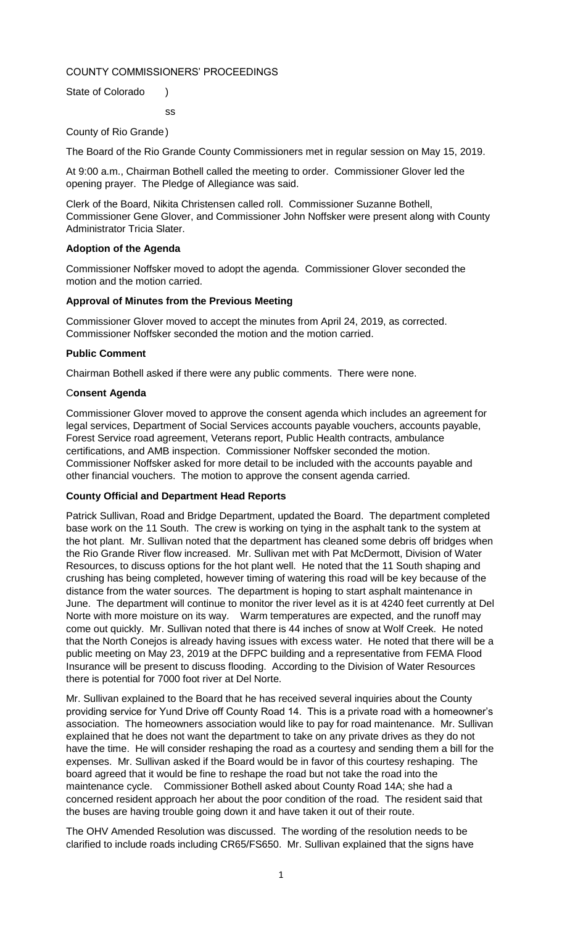# COUNTY COMMISSIONERS' PROCEEDINGS

ss

State of Colorado )

County of Rio Grande)

The Board of the Rio Grande County Commissioners met in regular session on May 15, 2019.

At 9:00 a.m., Chairman Bothell called the meeting to order. Commissioner Glover led the opening prayer. The Pledge of Allegiance was said.

Clerk of the Board, Nikita Christensen called roll. Commissioner Suzanne Bothell, Commissioner Gene Glover, and Commissioner John Noffsker were present along with County Administrator Tricia Slater.

## **Adoption of the Agenda**

Commissioner Noffsker moved to adopt the agenda. Commissioner Glover seconded the motion and the motion carried.

## **Approval of Minutes from the Previous Meeting**

Commissioner Glover moved to accept the minutes from April 24, 2019, as corrected. Commissioner Noffsker seconded the motion and the motion carried.

## **Public Comment**

Chairman Bothell asked if there were any public comments. There were none.

## C**onsent Agenda**

Commissioner Glover moved to approve the consent agenda which includes an agreement for legal services, Department of Social Services accounts payable vouchers, accounts payable, Forest Service road agreement, Veterans report, Public Health contracts, ambulance certifications, and AMB inspection. Commissioner Noffsker seconded the motion. Commissioner Noffsker asked for more detail to be included with the accounts payable and other financial vouchers. The motion to approve the consent agenda carried.

#### **County Official and Department Head Reports**

Patrick Sullivan, Road and Bridge Department, updated the Board. The department completed base work on the 11 South. The crew is working on tying in the asphalt tank to the system at the hot plant. Mr. Sullivan noted that the department has cleaned some debris off bridges when the Rio Grande River flow increased. Mr. Sullivan met with Pat McDermott, Division of Water Resources, to discuss options for the hot plant well. He noted that the 11 South shaping and crushing has being completed, however timing of watering this road will be key because of the distance from the water sources. The department is hoping to start asphalt maintenance in June. The department will continue to monitor the river level as it is at 4240 feet currently at Del Norte with more moisture on its way. Warm temperatures are expected, and the runoff may come out quickly. Mr. Sullivan noted that there is 44 inches of snow at Wolf Creek. He noted that the North Conejos is already having issues with excess water. He noted that there will be a public meeting on May 23, 2019 at the DFPC building and a representative from FEMA Flood Insurance will be present to discuss flooding. According to the Division of Water Resources there is potential for 7000 foot river at Del Norte.

Mr. Sullivan explained to the Board that he has received several inquiries about the County providing service for Yund Drive off County Road 14. This is a private road with a homeowner's association. The homeowners association would like to pay for road maintenance. Mr. Sullivan explained that he does not want the department to take on any private drives as they do not have the time. He will consider reshaping the road as a courtesy and sending them a bill for the expenses. Mr. Sullivan asked if the Board would be in favor of this courtesy reshaping. The board agreed that it would be fine to reshape the road but not take the road into the maintenance cycle. Commissioner Bothell asked about County Road 14A; she had a concerned resident approach her about the poor condition of the road. The resident said that the buses are having trouble going down it and have taken it out of their route.

The OHV Amended Resolution was discussed. The wording of the resolution needs to be clarified to include roads including CR65/FS650. Mr. Sullivan explained that the signs have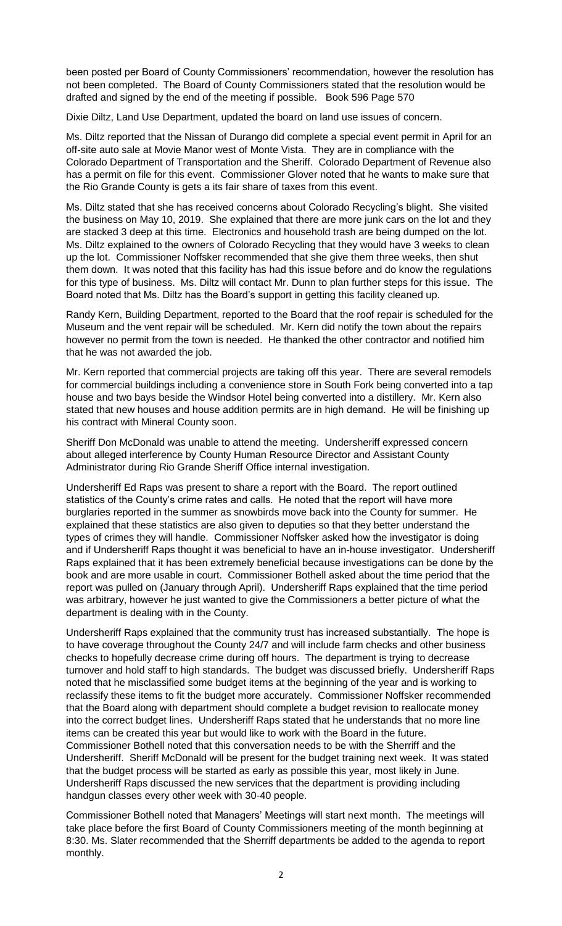been posted per Board of County Commissioners' recommendation, however the resolution has not been completed. The Board of County Commissioners stated that the resolution would be drafted and signed by the end of the meeting if possible. Book 596 Page 570

Dixie Diltz, Land Use Department, updated the board on land use issues of concern.

Ms. Diltz reported that the Nissan of Durango did complete a special event permit in April for an off-site auto sale at Movie Manor west of Monte Vista. They are in compliance with the Colorado Department of Transportation and the Sheriff. Colorado Department of Revenue also has a permit on file for this event. Commissioner Glover noted that he wants to make sure that the Rio Grande County is gets a its fair share of taxes from this event.

Ms. Diltz stated that she has received concerns about Colorado Recycling's blight. She visited the business on May 10, 2019. She explained that there are more junk cars on the lot and they are stacked 3 deep at this time. Electronics and household trash are being dumped on the lot. Ms. Diltz explained to the owners of Colorado Recycling that they would have 3 weeks to clean up the lot. Commissioner Noffsker recommended that she give them three weeks, then shut them down. It was noted that this facility has had this issue before and do know the regulations for this type of business. Ms. Diltz will contact Mr. Dunn to plan further steps for this issue. The Board noted that Ms. Diltz has the Board's support in getting this facility cleaned up.

Randy Kern, Building Department, reported to the Board that the roof repair is scheduled for the Museum and the vent repair will be scheduled. Mr. Kern did notify the town about the repairs however no permit from the town is needed. He thanked the other contractor and notified him that he was not awarded the job.

Mr. Kern reported that commercial projects are taking off this year. There are several remodels for commercial buildings including a convenience store in South Fork being converted into a tap house and two bays beside the Windsor Hotel being converted into a distillery. Mr. Kern also stated that new houses and house addition permits are in high demand. He will be finishing up his contract with Mineral County soon.

Sheriff Don McDonald was unable to attend the meeting. Undersheriff expressed concern about alleged interference by County Human Resource Director and Assistant County Administrator during Rio Grande Sheriff Office internal investigation.

Undersheriff Ed Raps was present to share a report with the Board. The report outlined statistics of the County's crime rates and calls. He noted that the report will have more burglaries reported in the summer as snowbirds move back into the County for summer. He explained that these statistics are also given to deputies so that they better understand the types of crimes they will handle. Commissioner Noffsker asked how the investigator is doing and if Undersheriff Raps thought it was beneficial to have an in-house investigator. Undersheriff Raps explained that it has been extremely beneficial because investigations can be done by the book and are more usable in court. Commissioner Bothell asked about the time period that the report was pulled on (January through April). Undersheriff Raps explained that the time period was arbitrary, however he just wanted to give the Commissioners a better picture of what the department is dealing with in the County.

Undersheriff Raps explained that the community trust has increased substantially. The hope is to have coverage throughout the County 24/7 and will include farm checks and other business checks to hopefully decrease crime during off hours. The department is trying to decrease turnover and hold staff to high standards. The budget was discussed briefly. Undersheriff Raps noted that he misclassified some budget items at the beginning of the year and is working to reclassify these items to fit the budget more accurately. Commissioner Noffsker recommended that the Board along with department should complete a budget revision to reallocate money into the correct budget lines. Undersheriff Raps stated that he understands that no more line items can be created this year but would like to work with the Board in the future. Commissioner Bothell noted that this conversation needs to be with the Sherriff and the Undersheriff. Sheriff McDonald will be present for the budget training next week. It was stated that the budget process will be started as early as possible this year, most likely in June. Undersheriff Raps discussed the new services that the department is providing including handgun classes every other week with 30-40 people.

Commissioner Bothell noted that Managers' Meetings will start next month. The meetings will take place before the first Board of County Commissioners meeting of the month beginning at 8:30. Ms. Slater recommended that the Sherriff departments be added to the agenda to report monthly.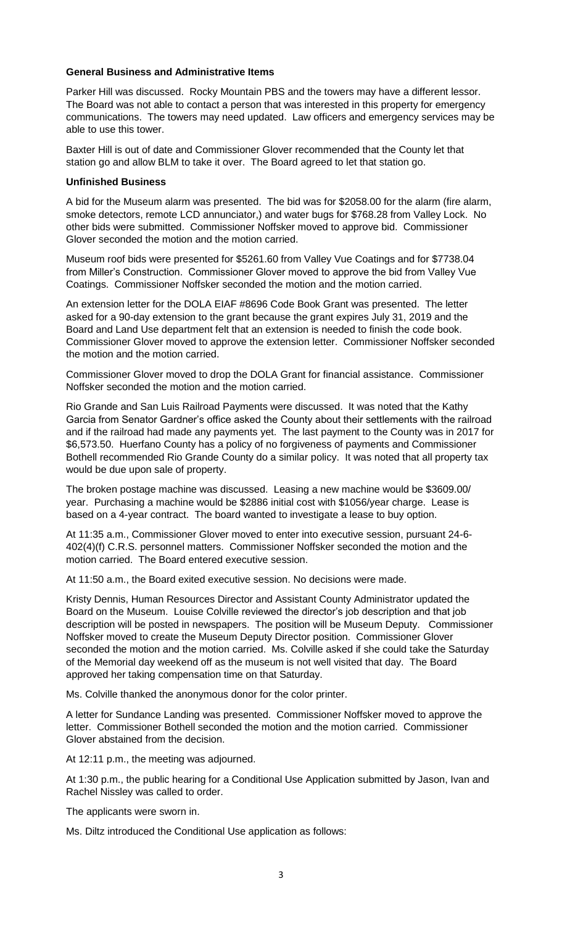# **General Business and Administrative Items**

Parker Hill was discussed. Rocky Mountain PBS and the towers may have a different lessor. The Board was not able to contact a person that was interested in this property for emergency communications. The towers may need updated. Law officers and emergency services may be able to use this tower.

Baxter Hill is out of date and Commissioner Glover recommended that the County let that station go and allow BLM to take it over. The Board agreed to let that station go.

#### **Unfinished Business**

A bid for the Museum alarm was presented. The bid was for \$2058.00 for the alarm (fire alarm, smoke detectors, remote LCD annunciator,) and water bugs for \$768.28 from Valley Lock. No other bids were submitted. Commissioner Noffsker moved to approve bid. Commissioner Glover seconded the motion and the motion carried.

Museum roof bids were presented for \$5261.60 from Valley Vue Coatings and for \$7738.04 from Miller's Construction. Commissioner Glover moved to approve the bid from Valley Vue Coatings. Commissioner Noffsker seconded the motion and the motion carried.

An extension letter for the DOLA EIAF #8696 Code Book Grant was presented. The letter asked for a 90-day extension to the grant because the grant expires July 31, 2019 and the Board and Land Use department felt that an extension is needed to finish the code book. Commissioner Glover moved to approve the extension letter. Commissioner Noffsker seconded the motion and the motion carried.

Commissioner Glover moved to drop the DOLA Grant for financial assistance. Commissioner Noffsker seconded the motion and the motion carried.

Rio Grande and San Luis Railroad Payments were discussed. It was noted that the Kathy Garcia from Senator Gardner's office asked the County about their settlements with the railroad and if the railroad had made any payments yet. The last payment to the County was in 2017 for \$6,573.50. Huerfano County has a policy of no forgiveness of payments and Commissioner Bothell recommended Rio Grande County do a similar policy. It was noted that all property tax would be due upon sale of property.

The broken postage machine was discussed. Leasing a new machine would be \$3609.00/ year. Purchasing a machine would be \$2886 initial cost with \$1056/year charge. Lease is based on a 4-year contract. The board wanted to investigate a lease to buy option.

At 11:35 a.m., Commissioner Glover moved to enter into executive session, pursuant 24-6- 402(4)(f) C.R.S. personnel matters. Commissioner Noffsker seconded the motion and the motion carried. The Board entered executive session.

At 11:50 a.m., the Board exited executive session. No decisions were made.

Kristy Dennis, Human Resources Director and Assistant County Administrator updated the Board on the Museum. Louise Colville reviewed the director's job description and that job description will be posted in newspapers. The position will be Museum Deputy. Commissioner Noffsker moved to create the Museum Deputy Director position. Commissioner Glover seconded the motion and the motion carried. Ms. Colville asked if she could take the Saturday of the Memorial day weekend off as the museum is not well visited that day. The Board approved her taking compensation time on that Saturday.

Ms. Colville thanked the anonymous donor for the color printer.

A letter for Sundance Landing was presented. Commissioner Noffsker moved to approve the letter. Commissioner Bothell seconded the motion and the motion carried. Commissioner Glover abstained from the decision.

At 12:11 p.m., the meeting was adjourned.

At 1:30 p.m., the public hearing for a Conditional Use Application submitted by Jason, Ivan and Rachel Nissley was called to order.

The applicants were sworn in.

Ms. Diltz introduced the Conditional Use application as follows: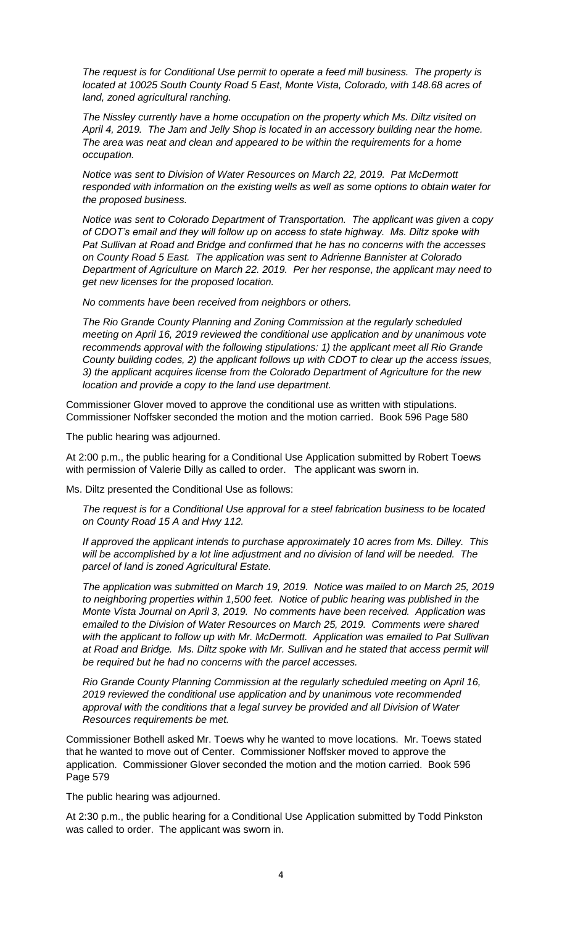*The request is for Conditional Use permit to operate a feed mill business. The property is located at 10025 South County Road 5 East, Monte Vista, Colorado, with 148.68 acres of land, zoned agricultural ranching.* 

*The Nissley currently have a home occupation on the property which Ms. Diltz visited on April 4, 2019. The Jam and Jelly Shop is located in an accessory building near the home. The area was neat and clean and appeared to be within the requirements for a home occupation.* 

*Notice was sent to Division of Water Resources on March 22, 2019. Pat McDermott responded with information on the existing wells as well as some options to obtain water for the proposed business.* 

*Notice was sent to Colorado Department of Transportation. The applicant was given a copy of CDOT's email and they will follow up on access to state highway. Ms. Diltz spoke with Pat Sullivan at Road and Bridge and confirmed that he has no concerns with the accesses on County Road 5 East. The application was sent to Adrienne Bannister at Colorado Department of Agriculture on March 22. 2019. Per her response, the applicant may need to get new licenses for the proposed location.* 

*No comments have been received from neighbors or others.* 

*The Rio Grande County Planning and Zoning Commission at the regularly scheduled meeting on April 16, 2019 reviewed the conditional use application and by unanimous vote recommends approval with the following stipulations: 1) the applicant meet all Rio Grande County building codes, 2) the applicant follows up with CDOT to clear up the access issues, 3) the applicant acquires license from the Colorado Department of Agriculture for the new location and provide a copy to the land use department.* 

Commissioner Glover moved to approve the conditional use as written with stipulations. Commissioner Noffsker seconded the motion and the motion carried. Book 596 Page 580

The public hearing was adjourned.

At 2:00 p.m., the public hearing for a Conditional Use Application submitted by Robert Toews with permission of Valerie Dilly as called to order. The applicant was sworn in.

Ms. Diltz presented the Conditional Use as follows:

*The request is for a Conditional Use approval for a steel fabrication business to be located on County Road 15 A and Hwy 112.* 

*If approved the applicant intends to purchase approximately 10 acres from Ms. Dilley. This will be accomplished by a lot line adjustment and no division of land will be needed. The parcel of land is zoned Agricultural Estate.* 

*The application was submitted on March 19, 2019. Notice was mailed to on March 25, 2019 to neighboring properties within 1,500 feet. Notice of public hearing was published in the Monte Vista Journal on April 3, 2019. No comments have been received. Application was emailed to the Division of Water Resources on March 25, 2019. Comments were shared with the applicant to follow up with Mr. McDermott. Application was emailed to Pat Sullivan at Road and Bridge. Ms. Diltz spoke with Mr. Sullivan and he stated that access permit will be required but he had no concerns with the parcel accesses.* 

*Rio Grande County Planning Commission at the regularly scheduled meeting on April 16, 2019 reviewed the conditional use application and by unanimous vote recommended approval with the conditions that a legal survey be provided and all Division of Water Resources requirements be met.* 

Commissioner Bothell asked Mr. Toews why he wanted to move locations. Mr. Toews stated that he wanted to move out of Center. Commissioner Noffsker moved to approve the application. Commissioner Glover seconded the motion and the motion carried. Book 596 Page 579

The public hearing was adjourned.

At 2:30 p.m., the public hearing for a Conditional Use Application submitted by Todd Pinkston was called to order. The applicant was sworn in.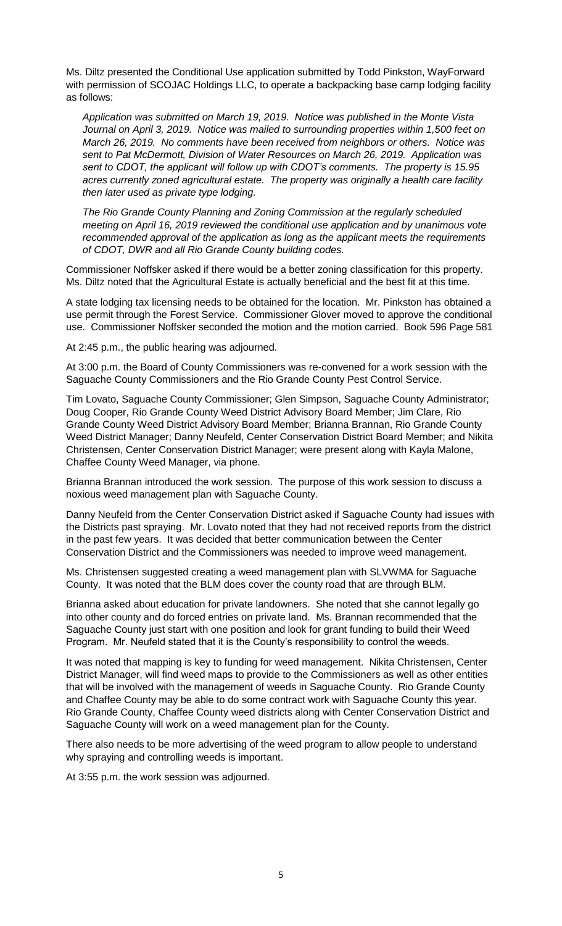Ms. Diltz presented the Conditional Use application submitted by Todd Pinkston, WayForward with permission of SCOJAC Holdings LLC, to operate a backpacking base camp lodging facility as follows:

*Application was submitted on March 19, 2019. Notice was published in the Monte Vista Journal on April 3, 2019. Notice was mailed to surrounding properties within 1,500 feet on March 26, 2019. No comments have been received from neighbors or others. Notice was sent to Pat McDermott, Division of Water Resources on March 26, 2019. Application was sent to CDOT, the applicant will follow up with CDOT's comments. The property is 15.95 acres currently zoned agricultural estate. The property was originally a health care facility then later used as private type lodging.* 

*The Rio Grande County Planning and Zoning Commission at the regularly scheduled meeting on April 16, 2019 reviewed the conditional use application and by unanimous vote recommended approval of the application as long as the applicant meets the requirements of CDOT, DWR and all Rio Grande County building codes.* 

Commissioner Noffsker asked if there would be a better zoning classification for this property. Ms. Diltz noted that the Agricultural Estate is actually beneficial and the best fit at this time.

A state lodging tax licensing needs to be obtained for the location. Mr. Pinkston has obtained a use permit through the Forest Service. Commissioner Glover moved to approve the conditional use. Commissioner Noffsker seconded the motion and the motion carried. Book 596 Page 581

At 2:45 p.m., the public hearing was adjourned.

At 3:00 p.m. the Board of County Commissioners was re-convened for a work session with the Saguache County Commissioners and the Rio Grande County Pest Control Service.

Tim Lovato, Saguache County Commissioner; Glen Simpson, Saguache County Administrator; Doug Cooper, Rio Grande County Weed District Advisory Board Member; Jim Clare, Rio Grande County Weed District Advisory Board Member; Brianna Brannan, Rio Grande County Weed District Manager; Danny Neufeld, Center Conservation District Board Member; and Nikita Christensen, Center Conservation District Manager; were present along with Kayla Malone, Chaffee County Weed Manager, via phone.

Brianna Brannan introduced the work session. The purpose of this work session to discuss a noxious weed management plan with Saguache County.

Danny Neufeld from the Center Conservation District asked if Saguache County had issues with the Districts past spraying. Mr. Lovato noted that they had not received reports from the district in the past few years. It was decided that better communication between the Center Conservation District and the Commissioners was needed to improve weed management.

Ms. Christensen suggested creating a weed management plan with SLVWMA for Saguache County. It was noted that the BLM does cover the county road that are through BLM.

Brianna asked about education for private landowners. She noted that she cannot legally go into other county and do forced entries on private land. Ms. Brannan recommended that the Saguache County just start with one position and look for grant funding to build their Weed Program. Mr. Neufeld stated that it is the County's responsibility to control the weeds.

It was noted that mapping is key to funding for weed management. Nikita Christensen, Center District Manager, will find weed maps to provide to the Commissioners as well as other entities that will be involved with the management of weeds in Saguache County. Rio Grande County and Chaffee County may be able to do some contract work with Saguache County this year. Rio Grande County, Chaffee County weed districts along with Center Conservation District and Saguache County will work on a weed management plan for the County.

There also needs to be more advertising of the weed program to allow people to understand why spraying and controlling weeds is important.

At 3:55 p.m. the work session was adjourned.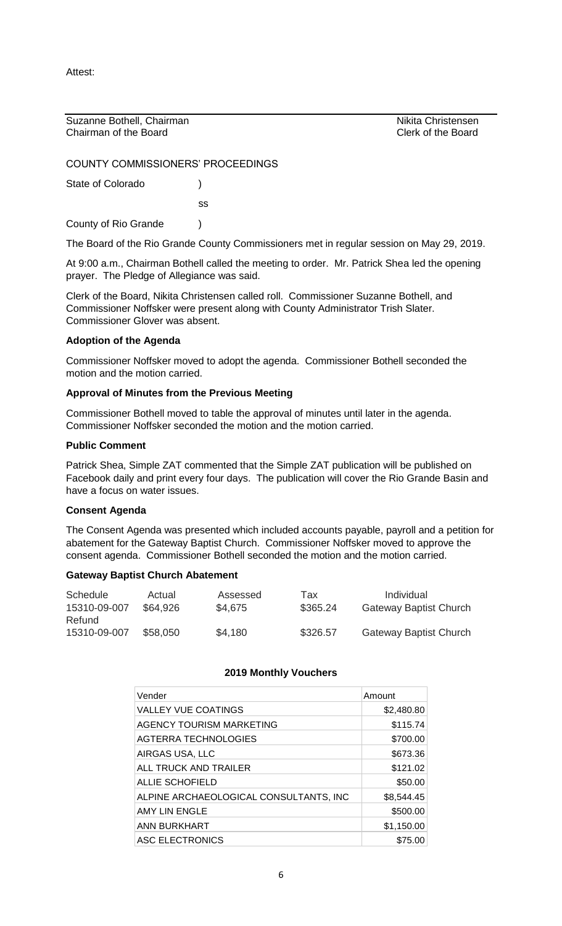Attest:

Suzanne Bothell, Chairman Nikita Christensen Nikita Christensen Chairman of the Board Clerk of the Board

COUNTY COMMISSIONERS' PROCEEDINGS

State of Colorado (a)

ss

County of Rio Grande (1)

The Board of the Rio Grande County Commissioners met in regular session on May 29, 2019.

At 9:00 a.m., Chairman Bothell called the meeting to order. Mr. Patrick Shea led the opening prayer. The Pledge of Allegiance was said.

Clerk of the Board, Nikita Christensen called roll. Commissioner Suzanne Bothell, and Commissioner Noffsker were present along with County Administrator Trish Slater. Commissioner Glover was absent.

# **Adoption of the Agenda**

Commissioner Noffsker moved to adopt the agenda. Commissioner Bothell seconded the motion and the motion carried.

# **Approval of Minutes from the Previous Meeting**

Commissioner Bothell moved to table the approval of minutes until later in the agenda. Commissioner Noffsker seconded the motion and the motion carried.

# **Public Comment**

Patrick Shea, Simple ZAT commented that the Simple ZAT publication will be published on Facebook daily and print every four days. The publication will cover the Rio Grande Basin and have a focus on water issues.

# **Consent Agenda**

The Consent Agenda was presented which included accounts payable, payroll and a petition for abatement for the Gateway Baptist Church. Commissioner Noffsker moved to approve the consent agenda. Commissioner Bothell seconded the motion and the motion carried.

# **Gateway Baptist Church Abatement**

| <b>Schedule</b>        | Actual   | Assessed | Tax      | Individual                    |
|------------------------|----------|----------|----------|-------------------------------|
| 15310-09-007           | \$64,926 | \$4,675  | \$365.24 | <b>Gateway Baptist Church</b> |
| Refund<br>15310-09-007 | \$58,050 | \$4,180  | \$326.57 | <b>Gateway Baptist Church</b> |

# **2019 Monthly Vouchers**

| Vender                                 | Amount     |
|----------------------------------------|------------|
| <b>VALLEY VUE COATINGS</b>             | \$2,480.80 |
| AGENCY TOURISM MARKETING               | \$115.74   |
| AGTERRA TECHNOLOGIES                   | \$700.00   |
| AIRGAS USA, LLC                        | \$673.36   |
| ALL TRUCK AND TRAILER                  | \$121.02   |
| ALLIE SCHOFIELD                        | \$50.00    |
| ALPINE ARCHAEOLOGICAL CONSULTANTS, INC | \$8,544.45 |
| AMY LIN ENGLE                          | \$500.00   |
| ANN BURKHART                           | \$1,150.00 |
| ASC ELECTRONICS                        | \$75.00    |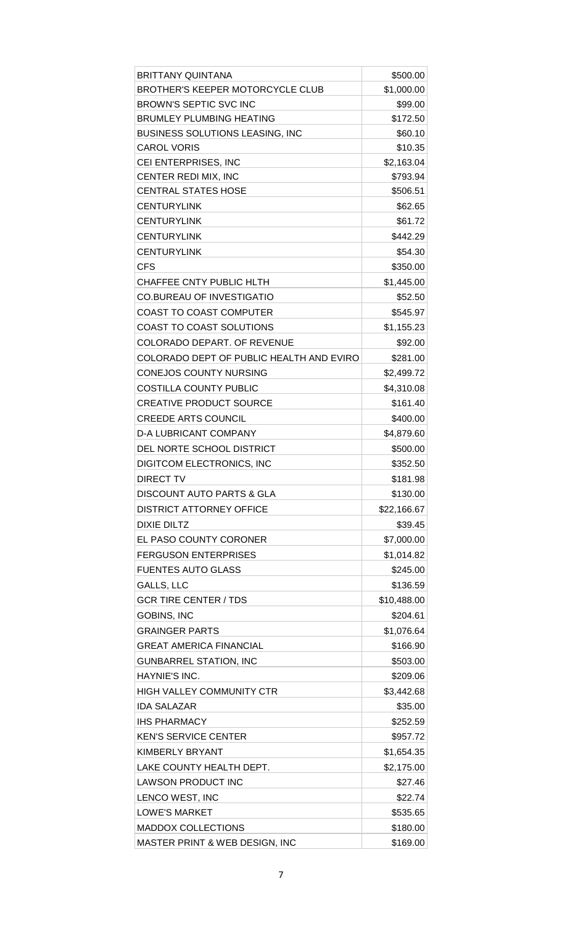| <b>BRITTANY QUINTANA</b>                 | \$500.00    |
|------------------------------------------|-------------|
| <b>BROTHER'S KEEPER MOTORCYCLE CLUB</b>  | \$1,000.00  |
| <b>BROWN'S SEPTIC SVC INC</b>            | \$99.00     |
| <b>BRUMLEY PLUMBING HEATING</b>          | \$172.50    |
| <b>BUSINESS SOLUTIONS LEASING, INC</b>   | \$60.10     |
| <b>CAROL VORIS</b>                       | \$10.35     |
| CEI ENTERPRISES, INC                     | \$2,163.04  |
| CENTER REDI MIX, INC                     | \$793.94    |
| <b>CENTRAL STATES HOSE</b>               | \$506.51    |
| <b>CENTURYLINK</b>                       | \$62.65     |
| <b>CENTURYLINK</b>                       | \$61.72     |
| <b>CENTURYLINK</b>                       | \$442.29    |
| <b>CENTURYLINK</b>                       | \$54.30     |
| <b>CFS</b>                               | \$350.00    |
| <b>CHAFFEE CNTY PUBLIC HLTH</b>          | \$1,445.00  |
| <b>CO.BUREAU OF INVESTIGATIO</b>         | \$52.50     |
| <b>COAST TO COAST COMPUTER</b>           | \$545.97    |
| COAST TO COAST SOLUTIONS                 | \$1,155.23  |
| <b>COLORADO DEPART. OF REVENUE</b>       | \$92.00     |
| COLORADO DEPT OF PUBLIC HEALTH AND EVIRO | \$281.00    |
| <b>CONEJOS COUNTY NURSING</b>            | \$2,499.72  |
| <b>COSTILLA COUNTY PUBLIC</b>            | \$4,310.08  |
| <b>CREATIVE PRODUCT SOURCE</b>           | \$161.40    |
| <b>CREEDE ARTS COUNCIL</b>               | \$400.00    |
| <b>D-A LUBRICANT COMPANY</b>             | \$4,879.60  |
| DEL NORTE SCHOOL DISTRICT                | \$500.00    |
| DIGITCOM ELECTRONICS, INC                | \$352.50    |
| DIRECT TV                                | \$181.98    |
| DISCOUNT AUTO PARTS & GLA                | \$130.00    |
| <b>DISTRICT ATTORNEY OFFICE</b>          | \$22,166.67 |
| <b>DIXIE DILTZ</b>                       | \$39.45     |
|                                          |             |
| EL PASO COUNTY CORONER                   | \$7,000.00  |
| <b>FERGUSON ENTERPRISES</b>              | \$1,014.82  |
| <b>FUENTES AUTO GLASS</b>                | \$245.00    |
| GALLS, LLC                               | \$136.59    |
| <b>GCR TIRE CENTER / TDS</b>             | \$10,488.00 |
| GOBINS, INC                              | \$204.61    |
| <b>GRAINGER PARTS</b>                    | \$1,076.64  |
| <b>GREAT AMERICA FINANCIAL</b>           | \$166.90    |
| <b>GUNBARREL STATION, INC</b>            | \$503.00    |
| HAYNIE'S INC.                            | \$209.06    |
| <b>HIGH VALLEY COMMUNITY CTR</b>         | \$3,442.68  |
| IDA SALAZAR                              | \$35.00     |
| <b>IHS PHARMACY</b>                      | \$252.59    |
| <b>KEN'S SERVICE CENTER</b>              | \$957.72    |
| KIMBERLY BRYANT                          | \$1,654.35  |
| LAKE COUNTY HEALTH DEPT.                 | \$2,175.00  |
| <b>LAWSON PRODUCT INC</b>                | \$27.46     |
| LENCO WEST, INC                          | \$22.74     |
| <b>LOWE'S MARKET</b>                     | \$535.65    |
| <b>MADDOX COLLECTIONS</b>                | \$180.00    |
| MASTER PRINT & WEB DESIGN, INC           | \$169.00    |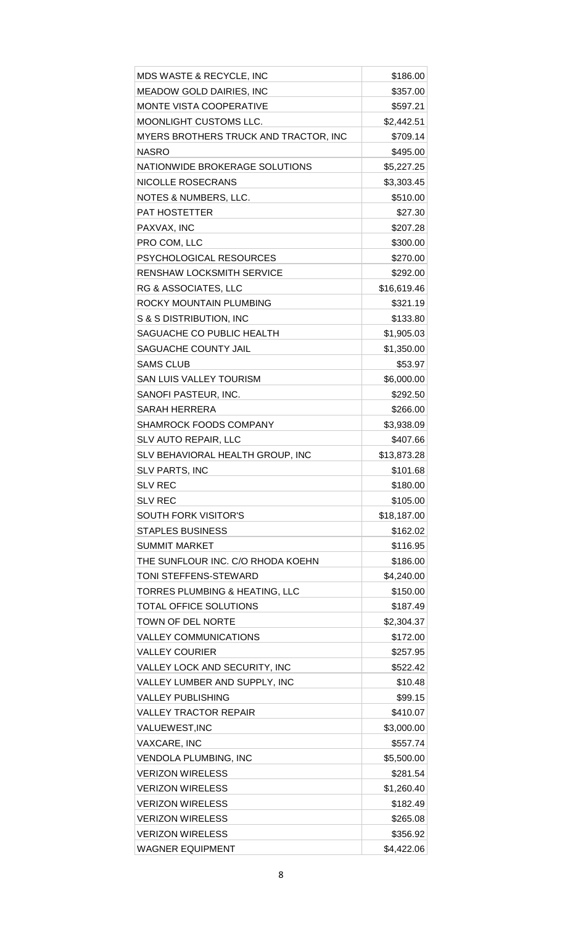| <b>MDS WASTE &amp; RECYCLE, INC</b>   | \$186.00    |
|---------------------------------------|-------------|
| <b>MEADOW GOLD DAIRIES, INC</b>       | \$357.00    |
| MONTE VISTA COOPERATIVE               | \$597.21    |
| MOONLIGHT CUSTOMS LLC.                | \$2,442.51  |
| MYERS BROTHERS TRUCK AND TRACTOR, INC | \$709.14    |
| <b>NASRO</b>                          | \$495.00    |
| NATIONWIDE BROKERAGE SOLUTIONS        | \$5,227.25  |
| <b>NICOLLE ROSECRANS</b>              | \$3,303.45  |
| NOTES & NUMBERS, LLC.                 | \$510.00    |
| PAT HOSTETTER                         | \$27.30     |
| PAXVAX, INC                           | \$207.28    |
| PRO COM, LLC                          | \$300.00    |
| <b>PSYCHOLOGICAL RESOURCES</b>        | \$270.00    |
| RENSHAW LOCKSMITH SERVICE             | \$292.00    |
| RG & ASSOCIATES, LLC                  | \$16,619.46 |
| ROCKY MOUNTAIN PLUMBING               | \$321.19    |
| S & S DISTRIBUTION, INC               | \$133.80    |
| SAGUACHE CO PUBLIC HEALTH             | \$1,905.03  |
| SAGUACHE COUNTY JAIL                  | \$1,350.00  |
| <b>SAMS CLUB</b>                      | \$53.97     |
| SAN LUIS VALLEY TOURISM               | \$6,000.00  |
| SANOFI PASTEUR, INC.                  | \$292.50    |
| SARAH HERRERA                         | \$266.00    |
| SHAMROCK FOODS COMPANY                | \$3,938.09  |
| SLV AUTO REPAIR, LLC                  | \$407.66    |
| SLV BEHAVIORAL HEALTH GROUP, INC      | \$13,873.28 |
|                                       |             |
| <b>SLV PARTS, INC</b>                 | \$101.68    |
| SLV REC                               | \$180.00    |
| <b>SLV REC</b>                        | \$105.00    |
| SOUTH FORK VISITOR'S                  | \$18,187.00 |
| <b>STAPLES BUSINESS</b>               | \$162.02    |
| SUMMIT MARKET                         | \$116.95    |
| THE SUNFLOUR INC. C/O RHODA KOEHN     | \$186.00    |
| TONI STEFFENS-STEWARD                 | \$4,240.00  |
| TORRES PLUMBING & HEATING, LLC        | \$150.00    |
| TOTAL OFFICE SOLUTIONS                | \$187.49    |
| TOWN OF DEL NORTE                     | \$2,304.37  |
| <b>VALLEY COMMUNICATIONS</b>          | \$172.00    |
| <b>VALLEY COURIER</b>                 | \$257.95    |
| VALLEY LOCK AND SECURITY, INC         | \$522.42    |
| VALLEY LUMBER AND SUPPLY, INC         | \$10.48     |
| <b>VALLEY PUBLISHING</b>              | \$99.15     |
| <b>VALLEY TRACTOR REPAIR</b>          | \$410.07    |
| VALUEWEST, INC                        | \$3,000.00  |
| <b>VAXCARE, INC</b>                   | \$557.74    |
| <b>VENDOLA PLUMBING, INC</b>          | \$5,500.00  |
| <b>VERIZON WIRELESS</b>               | \$281.54    |
| <b>VERIZON WIRELESS</b>               | \$1,260.40  |
| <b>VERIZON WIRELESS</b>               | \$182.49    |
| <b>VERIZON WIRELESS</b>               | \$265.08    |
| <b>VERIZON WIRELESS</b>               | \$356.92    |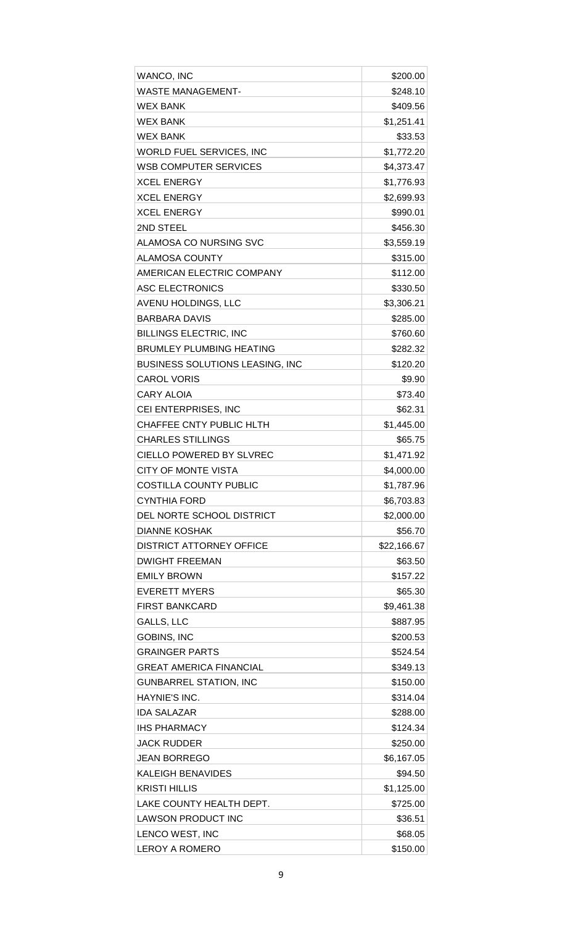| <b>WANCO, INC</b>                      | \$200.00    |
|----------------------------------------|-------------|
| WASTE MANAGEMENT-                      | \$248.10    |
| <b>WEX BANK</b>                        | \$409.56    |
| <b>WEX BANK</b>                        | \$1,251.41  |
| <b>WEX BANK</b>                        | \$33.53     |
| WORLD FUEL SERVICES, INC               | \$1,772.20  |
| <b>WSB COMPUTER SERVICES</b>           | \$4,373.47  |
| <b>XCEL ENERGY</b>                     | \$1,776.93  |
| <b>XCEL ENERGY</b>                     | \$2,699.93  |
| <b>XCEL ENERGY</b>                     | \$990.01    |
| 2ND STEEL                              | \$456.30    |
| ALAMOSA CO NURSING SVC                 | \$3,559.19  |
| ALAMOSA COUNTY                         | \$315.00    |
| AMERICAN ELECTRIC COMPANY              | \$112.00    |
| <b>ASC ELECTRONICS</b>                 | \$330.50    |
| AVENU HOLDINGS, LLC                    | \$3,306.21  |
| <b>BARBARA DAVIS</b>                   | \$285.00    |
| <b>BILLINGS ELECTRIC, INC</b>          | \$760.60    |
| <b>BRUMLEY PLUMBING HEATING</b>        | \$282.32    |
| <b>BUSINESS SOLUTIONS LEASING, INC</b> | \$120.20    |
| <b>CAROL VORIS</b>                     | \$9.90      |
| <b>CARY ALOIA</b>                      | \$73.40     |
| CEI ENTERPRISES, INC                   | \$62.31     |
| CHAFFEE CNTY PUBLIC HLTH               | \$1,445.00  |
| <b>CHARLES STILLINGS</b>               | \$65.75     |
| <b>CIELLO POWERED BY SLVREC</b>        | \$1,471.92  |
| <b>CITY OF MONTE VISTA</b>             | \$4,000.00  |
| <b>COSTILLA COUNTY PUBLIC</b>          | \$1,787.96  |
| <b>CYNTHIA FORD</b>                    | \$6,703.83  |
| DEL NORTE SCHOOL DISTRICT              | \$2,000.00  |
| <b>DIANNE KOSHAK</b>                   | \$56.70     |
| <b>DISTRICT ATTORNEY OFFICE</b>        | \$22,166.67 |
| <b>DWIGHT FREEMAN</b>                  | \$63.50     |
| <b>EMILY BROWN</b>                     | \$157.22    |
| <b>EVERETT MYERS</b>                   | \$65.30     |
| <b>FIRST BANKCARD</b>                  | \$9,461.38  |
| GALLS, LLC                             | \$887.95    |
| <b>GOBINS, INC</b>                     | \$200.53    |
| <b>GRAINGER PARTS</b>                  | \$524.54    |
| <b>GREAT AMERICA FINANCIAL</b>         | \$349.13    |
| <b>GUNBARREL STATION, INC</b>          | \$150.00    |
| HAYNIE'S INC.                          | \$314.04    |
| <b>IDA SALAZAR</b>                     | \$288.00    |
| <b>IHS PHARMACY</b>                    | \$124.34    |
| <b>JACK RUDDER</b>                     | \$250.00    |
| <b>JEAN BORREGO</b>                    | \$6,167.05  |
| KALEIGH BENAVIDES                      | \$94.50     |
| <b>KRISTI HILLIS</b>                   | \$1,125.00  |
| LAKE COUNTY HEALTH DEPT.               | \$725.00    |
| <b>LAWSON PRODUCT INC</b>              | \$36.51     |
| LENCO WEST, INC                        | \$68.05     |
| <b>LEROY A ROMERO</b>                  | \$150.00    |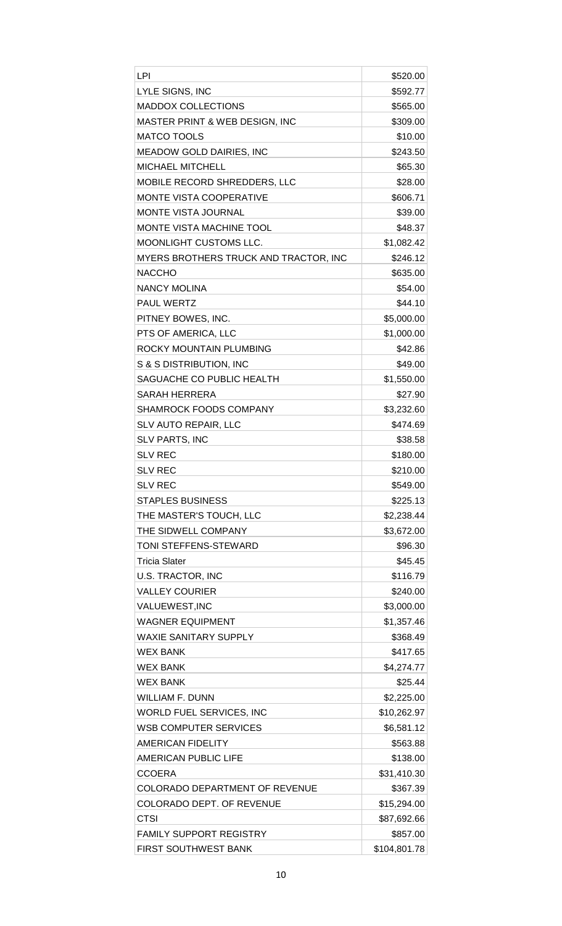| LPI                                       | \$520.00     |
|-------------------------------------------|--------------|
| LYLE SIGNS, INC                           | \$592.77     |
| <b>MADDOX COLLECTIONS</b>                 | \$565.00     |
| <b>MASTER PRINT &amp; WEB DESIGN, INC</b> | \$309.00     |
| <b>MATCO TOOLS</b>                        | \$10.00      |
| <b>MEADOW GOLD DAIRIES, INC</b>           | \$243.50     |
| <b>MICHAEL MITCHELL</b>                   | \$65.30      |
| MOBILE RECORD SHREDDERS, LLC              | \$28.00      |
| MONTE VISTA COOPERATIVE                   | \$606.71     |
| <b>MONTE VISTA JOURNAL</b>                | \$39.00      |
| MONTE VISTA MACHINE TOOL                  | \$48.37      |
| MOONLIGHT CUSTOMS LLC.                    | \$1,082.42   |
| MYERS BROTHERS TRUCK AND TRACTOR, INC     | \$246.12     |
| <b>NACCHO</b>                             | \$635.00     |
| <b>NANCY MOLINA</b>                       | \$54.00      |
| <b>PAUL WERTZ</b>                         | \$44.10      |
| PITNEY BOWES, INC.                        | \$5,000.00   |
| PTS OF AMERICA, LLC                       | \$1,000.00   |
| ROCKY MOUNTAIN PLUMBING                   | \$42.86      |
| S & S DISTRIBUTION, INC                   | \$49.00      |
| SAGUACHE CO PUBLIC HEALTH                 | \$1,550.00   |
| SARAH HERRERA                             | \$27.90      |
| <b>SHAMROCK FOODS COMPANY</b>             | \$3,232.60   |
| SLV AUTO REPAIR, LLC                      | \$474.69     |
| <b>SLV PARTS, INC</b>                     | \$38.58      |
| <b>SLV REC</b>                            | \$180.00     |
| <b>SLV REC</b>                            | \$210.00     |
| <b>SLV REC</b>                            | \$549.00     |
| <b>STAPLES BUSINESS</b>                   | \$225.13     |
| THE MASTER'S TOUCH, LLC                   | \$2,238.44   |
| THE SIDWELL COMPANY                       | \$3,672.00   |
| TONI STEFFENS-STEWARD                     | \$96.30      |
| <b>Tricia Slater</b>                      | \$45.45      |
| <b>U.S. TRACTOR, INC</b>                  | \$116.79     |
| <b>VALLEY COURIER</b>                     | \$240.00     |
| VALUEWEST, INC                            | \$3,000.00   |
| <b>WAGNER EQUIPMENT</b>                   | \$1,357.46   |
| WAXIE SANITARY SUPPLY                     | \$368.49     |
| <b>WEX BANK</b>                           | \$417.65     |
| <b>WEX BANK</b>                           | \$4,274.77   |
| <b>WEX BANK</b>                           | \$25.44      |
| WILLIAM F. DUNN                           | \$2,225.00   |
| <b>WORLD FUEL SERVICES, INC</b>           | \$10,262.97  |
| WSB COMPUTER SERVICES                     | \$6,581.12   |
| AMERICAN FIDELITY                         | \$563.88     |
| AMERICAN PUBLIC LIFE                      | \$138.00     |
| <b>CCOERA</b>                             | \$31,410.30  |
| <b>COLORADO DEPARTMENT OF REVENUE</b>     | \$367.39     |
| <b>COLORADO DEPT. OF REVENUE</b>          | \$15,294.00  |
| CTSI                                      | \$87,692.66  |
| <b>FAMILY SUPPORT REGISTRY</b>            | \$857.00     |
| <b>FIRST SOUTHWEST BANK</b>               | \$104,801.78 |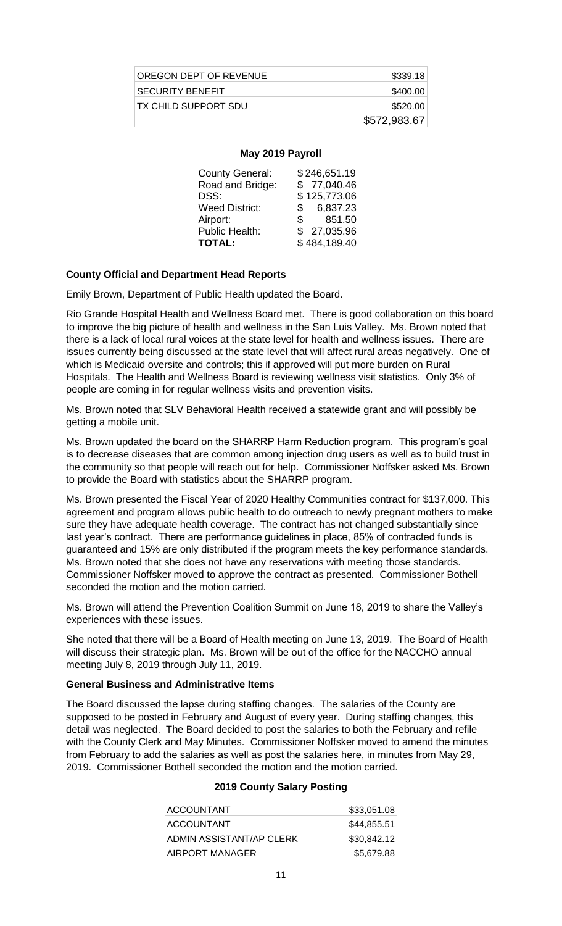| OREGON DEPT OF REVENUE | \$339.18     |
|------------------------|--------------|
| I SECURITY BENEFIT     | \$400.00     |
| ITX CHILD SUPPORT SDU  | \$520.00     |
|                        | \$572,983.67 |

#### **May 2019 Payroll**

| <b>County General:</b> | \$246,651.19   |
|------------------------|----------------|
| Road and Bridge:       | \$77,040.46    |
| DSS:                   | \$125,773.06   |
| <b>Weed District:</b>  | 6,837.23<br>S. |
| Airport:               | 851.50<br>S.   |
| Public Health:         | \$27,035.96    |
| <b>TOTAL:</b>          | \$484,189.40   |
|                        |                |

## **County Official and Department Head Reports**

Emily Brown, Department of Public Health updated the Board.

Rio Grande Hospital Health and Wellness Board met. There is good collaboration on this board to improve the big picture of health and wellness in the San Luis Valley. Ms. Brown noted that there is a lack of local rural voices at the state level for health and wellness issues. There are issues currently being discussed at the state level that will affect rural areas negatively. One of which is Medicaid oversite and controls; this if approved will put more burden on Rural Hospitals. The Health and Wellness Board is reviewing wellness visit statistics. Only 3% of people are coming in for regular wellness visits and prevention visits.

Ms. Brown noted that SLV Behavioral Health received a statewide grant and will possibly be getting a mobile unit.

Ms. Brown updated the board on the SHARRP Harm Reduction program. This program's goal is to decrease diseases that are common among injection drug users as well as to build trust in the community so that people will reach out for help. Commissioner Noffsker asked Ms. Brown to provide the Board with statistics about the SHARRP program.

Ms. Brown presented the Fiscal Year of 2020 Healthy Communities contract for \$137,000. This agreement and program allows public health to do outreach to newly pregnant mothers to make sure they have adequate health coverage. The contract has not changed substantially since last year's contract. There are performance guidelines in place, 85% of contracted funds is guaranteed and 15% are only distributed if the program meets the key performance standards. Ms. Brown noted that she does not have any reservations with meeting those standards. Commissioner Noffsker moved to approve the contract as presented. Commissioner Bothell seconded the motion and the motion carried.

Ms. Brown will attend the Prevention Coalition Summit on June 18, 2019 to share the Valley's experiences with these issues.

She noted that there will be a Board of Health meeting on June 13, 2019. The Board of Health will discuss their strategic plan. Ms. Brown will be out of the office for the NACCHO annual meeting July 8, 2019 through July 11, 2019.

## **General Business and Administrative Items**

The Board discussed the lapse during staffing changes. The salaries of the County are supposed to be posted in February and August of every year. During staffing changes, this detail was neglected. The Board decided to post the salaries to both the February and refile with the County Clerk and May Minutes. Commissioner Noffsker moved to amend the minutes from February to add the salaries as well as post the salaries here, in minutes from May 29, 2019. Commissioner Bothell seconded the motion and the motion carried.

| ACCOUNTANT               | \$33,051.08 |
|--------------------------|-------------|
| ACCOUNTANT               | \$44,855.51 |
| ADMIN ASSISTANT/AP CLERK | \$30,842.12 |
| AIRPORT MANAGER          | \$5,679.88  |

#### **2019 County Salary Posting**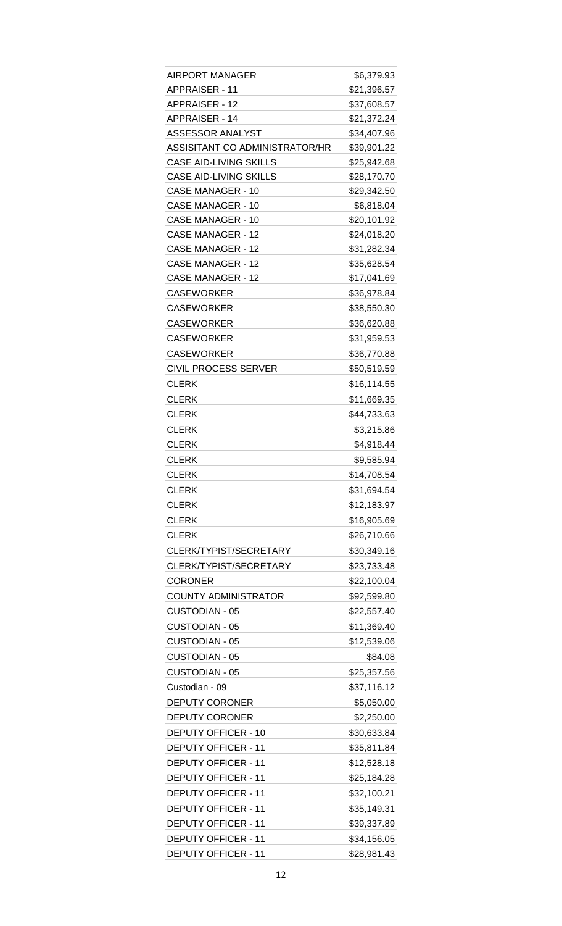| AIRPORT MANAGER                | \$6,379.93  |
|--------------------------------|-------------|
| APPRAISER - 11                 | \$21,396.57 |
| <b>APPRAISER - 12</b>          | \$37,608.57 |
| <b>APPRAISER - 14</b>          | \$21,372.24 |
| ASSESSOR ANALYST               | \$34,407.96 |
| ASSISITANT CO ADMINISTRATOR/HR | \$39,901.22 |
| <b>CASE AID-LIVING SKILLS</b>  | \$25,942.68 |
| <b>CASE AID-LIVING SKILLS</b>  | \$28,170.70 |
| CASE MANAGER - 10              | \$29,342.50 |
| CASE MANAGER - 10              | \$6,818.04  |
| <b>CASE MANAGER - 10</b>       | \$20,101.92 |
| CASE MANAGER - 12              | \$24,018.20 |
| <b>CASE MANAGER - 12</b>       | \$31,282.34 |
| CASE MANAGER - 12              | \$35,628.54 |
| CASE MANAGER - 12              | \$17,041.69 |
| <b>CASEWORKER</b>              | \$36,978.84 |
| <b>CASEWORKER</b>              | \$38,550.30 |
| <b>CASEWORKER</b>              | \$36,620.88 |
| <b>CASEWORKER</b>              | \$31,959.53 |
| <b>CASEWORKER</b>              | \$36,770.88 |
| <b>CIVIL PROCESS SERVER</b>    | \$50,519.59 |
| <b>CLERK</b>                   | \$16,114.55 |
| <b>CLERK</b>                   | \$11,669.35 |
| <b>CLERK</b>                   | \$44,733.63 |
| <b>CLERK</b>                   | \$3,215.86  |
| <b>CLERK</b>                   | \$4,918.44  |
| <b>CLERK</b>                   | \$9,585.94  |
| <b>CLERK</b>                   | \$14,708.54 |
| <b>CLERK</b>                   | \$31,694.54 |
| <b>CLERK</b>                   | \$12,183.97 |
| <b>CLERK</b>                   | \$16,905.69 |
| <b>CLERK</b>                   | \$26,710.66 |
| CLERK/TYPIST/SECRETARY         | \$30,349.16 |
| CLERK/TYPIST/SECRETARY         | \$23,733.48 |
| <b>CORONER</b>                 | \$22,100.04 |
| <b>COUNTY ADMINISTRATOR</b>    | \$92,599.80 |
| <b>CUSTODIAN - 05</b>          | \$22,557.40 |
| <b>CUSTODIAN - 05</b>          | \$11,369.40 |
| <b>CUSTODIAN - 05</b>          | \$12,539.06 |
| <b>CUSTODIAN - 05</b>          | \$84.08     |
| <b>CUSTODIAN - 05</b>          | \$25,357.56 |
| Custodian - 09                 | \$37,116.12 |
| <b>DEPUTY CORONER</b>          | \$5,050.00  |
| <b>DEPUTY CORONER</b>          | \$2,250.00  |
| DEPUTY OFFICER - 10            | \$30,633.84 |
| <b>DEPUTY OFFICER - 11</b>     | \$35,811.84 |
| <b>DEPUTY OFFICER - 11</b>     | \$12,528.18 |
| <b>DEPUTY OFFICER - 11</b>     | \$25,184.28 |
| <b>DEPUTY OFFICER - 11</b>     | \$32,100.21 |
| <b>DEPUTY OFFICER - 11</b>     | \$35,149.31 |
| <b>DEPUTY OFFICER - 11</b>     | \$39,337.89 |
| <b>DEPUTY OFFICER - 11</b>     | \$34,156.05 |
| <b>DEPUTY OFFICER - 11</b>     | \$28,981.43 |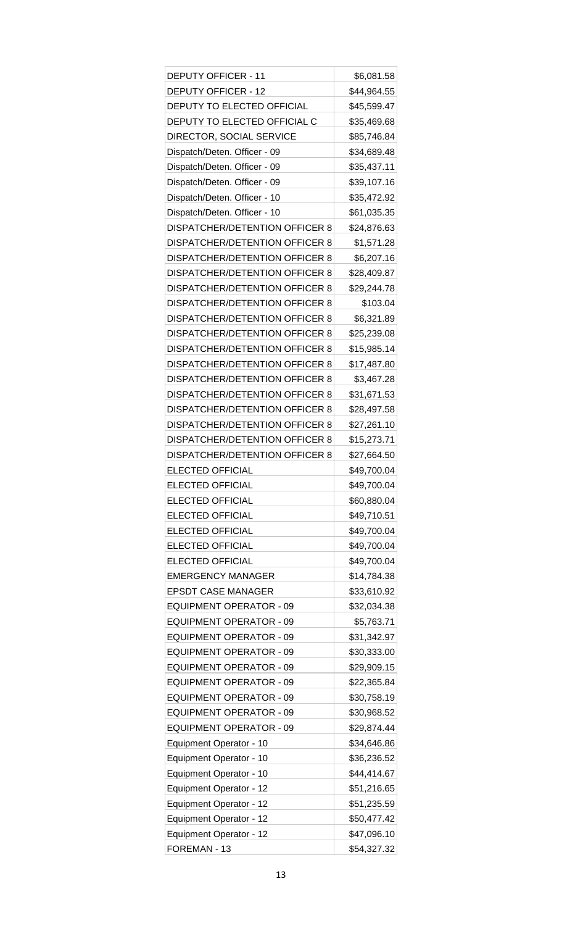| <b>DEPUTY OFFICER - 11</b>            | \$6,081.58  |
|---------------------------------------|-------------|
| <b>DEPUTY OFFICER - 12</b>            | \$44,964.55 |
| DEPUTY TO ELECTED OFFICIAL            | \$45,599.47 |
| DEPUTY TO ELECTED OFFICIAL C          | \$35,469.68 |
| DIRECTOR, SOCIAL SERVICE              | \$85,746.84 |
| Dispatch/Deten. Officer - 09          | \$34,689.48 |
| Dispatch/Deten. Officer - 09          | \$35,437.11 |
| Dispatch/Deten. Officer - 09          | \$39,107.16 |
| Dispatch/Deten. Officer - 10          | \$35,472.92 |
| Dispatch/Deten. Officer - 10          | \$61,035.35 |
| DISPATCHER/DETENTION OFFICER 8        | \$24,876.63 |
| <b>DISPATCHER/DETENTION OFFICER 8</b> | \$1,571.28  |
| DISPATCHER/DETENTION OFFICER 8        | \$6,207.16  |
| DISPATCHER/DETENTION OFFICER 8        | \$28,409.87 |
| <b>DISPATCHER/DETENTION OFFICER 8</b> | \$29,244.78 |
| <b>DISPATCHER/DETENTION OFFICER 8</b> | \$103.04    |
| <b>DISPATCHER/DETENTION OFFICER 8</b> | \$6,321.89  |
| <b>DISPATCHER/DETENTION OFFICER 8</b> | \$25,239.08 |
| DISPATCHER/DETENTION OFFICER 8        | \$15,985.14 |
| <b>DISPATCHER/DETENTION OFFICER 8</b> | \$17,487.80 |
| <b>DISPATCHER/DETENTION OFFICER 8</b> | \$3,467.28  |
| <b>DISPATCHER/DETENTION OFFICER 8</b> | \$31,671.53 |
| <b>DISPATCHER/DETENTION OFFICER 8</b> | \$28,497.58 |
| <b>DISPATCHER/DETENTION OFFICER 8</b> | \$27,261.10 |
| <b>DISPATCHER/DETENTION OFFICER 8</b> | \$15,273.71 |
| <b>DISPATCHER/DETENTION OFFICER 8</b> | \$27,664.50 |
| <b>ELECTED OFFICIAL</b>               | \$49,700.04 |
| <b>ELECTED OFFICIAL</b>               | \$49,700.04 |
| <b>ELECTED OFFICIAL</b>               | \$60,880.04 |
| <b>ELECTED OFFICIAL</b>               | \$49,710.51 |
| <b>ELECTED OFFICIAL</b>               | \$49,700.04 |
| <b>ELECTED OFFICIAL</b>               | \$49,700.04 |
| <b>ELECTED OFFICIAL</b>               | \$49,700.04 |
| <b>EMERGENCY MANAGER</b>              | \$14,784.38 |
| <b>EPSDT CASE MANAGER</b>             | \$33,610.92 |
| <b>EQUIPMENT OPERATOR - 09</b>        | \$32,034.38 |
| <b>EQUIPMENT OPERATOR - 09</b>        | \$5,763.71  |
| <b>EQUIPMENT OPERATOR - 09</b>        | \$31,342.97 |
| <b>EQUIPMENT OPERATOR - 09</b>        | \$30,333.00 |
| <b>EQUIPMENT OPERATOR - 09</b>        | \$29,909.15 |
| <b>EQUIPMENT OPERATOR - 09</b>        | \$22,365.84 |
| <b>EQUIPMENT OPERATOR - 09</b>        | \$30,758.19 |
| <b>EQUIPMENT OPERATOR - 09</b>        | \$30,968.52 |
| <b>EQUIPMENT OPERATOR - 09</b>        | \$29,874.44 |
| Equipment Operator - 10               | \$34,646.86 |
| Equipment Operator - 10               | \$36,236.52 |
| Equipment Operator - 10               | \$44,414.67 |
| Equipment Operator - 12               | \$51,216.65 |
| Equipment Operator - 12               | \$51,235.59 |
| Equipment Operator - 12               | \$50,477.42 |
| Equipment Operator - 12               | \$47,096.10 |
| FOREMAN - 13                          | \$54,327.32 |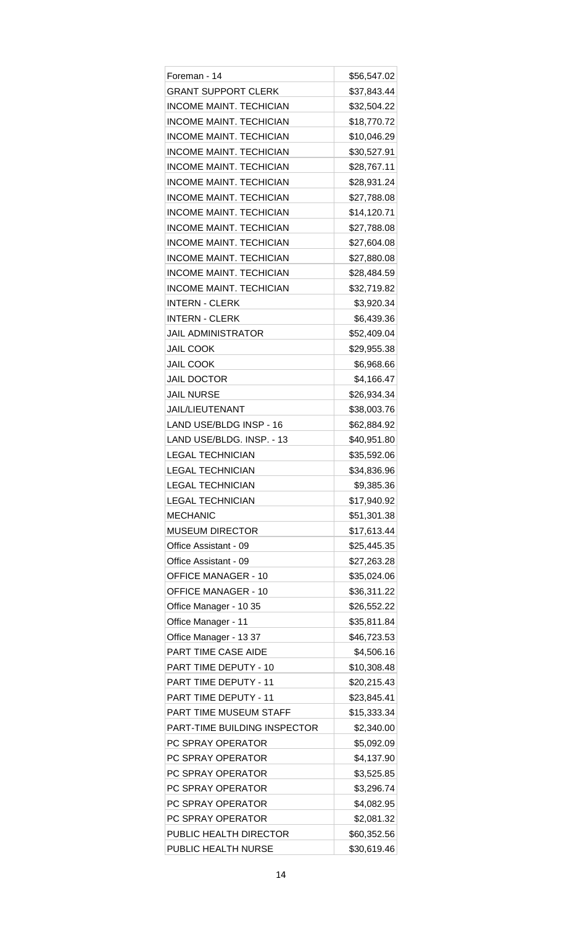| Foreman - 14                   | \$56,547.02 |
|--------------------------------|-------------|
| <b>GRANT SUPPORT CLERK</b>     | \$37,843.44 |
| <b>INCOME MAINT. TECHICIAN</b> | \$32,504.22 |
| <b>INCOME MAINT, TECHICIAN</b> | \$18,770.72 |
| <b>INCOME MAINT. TECHICIAN</b> | \$10,046.29 |
| <b>INCOME MAINT. TECHICIAN</b> | \$30,527.91 |
| <b>INCOME MAINT, TECHICIAN</b> | \$28,767.11 |
| <b>INCOME MAINT. TECHICIAN</b> | \$28,931.24 |
| <b>INCOME MAINT. TECHICIAN</b> | \$27,788.08 |
| <b>INCOME MAINT. TECHICIAN</b> | \$14,120.71 |
| <b>INCOME MAINT. TECHICIAN</b> | \$27,788.08 |
| <b>INCOME MAINT. TECHICIAN</b> | \$27,604.08 |
| <b>INCOME MAINT. TECHICIAN</b> | \$27,880.08 |
| <b>INCOME MAINT. TECHICIAN</b> | \$28,484.59 |
| <b>INCOME MAINT. TECHICIAN</b> | \$32,719.82 |
| <b>INTERN - CLERK</b>          | \$3,920.34  |
| <b>INTERN - CLERK</b>          | \$6,439.36  |
| <b>JAIL ADMINISTRATOR</b>      |             |
|                                | \$52,409.04 |
| <b>JAIL COOK</b>               | \$29,955.38 |
| <b>JAIL COOK</b>               | \$6,968.66  |
| <b>JAIL DOCTOR</b>             | \$4,166.47  |
| <b>JAIL NURSE</b>              | \$26,934.34 |
| <b>JAIL/LIEUTENANT</b>         | \$38,003.76 |
| LAND USE/BLDG INSP - 16        | \$62,884.92 |
| LAND USE/BLDG. INSP. - 13      | \$40,951.80 |
| <b>LEGAL TECHNICIAN</b>        | \$35,592.06 |
| <b>LEGAL TECHNICIAN</b>        | \$34,836.96 |
| <b>LEGAL TECHNICIAN</b>        | \$9,385.36  |
| <b>LEGAL TECHNICIAN</b>        | \$17,940.92 |
| <b>MECHANIC</b>                | \$51,301.38 |
| <b>MUSEUM DIRECTOR</b>         | \$17,613.44 |
| Office Assistant - 09          | \$25,445.35 |
| Office Assistant - 09          | \$27,263.28 |
| <b>OFFICE MANAGER - 10</b>     | \$35,024.06 |
| <b>OFFICE MANAGER - 10</b>     | \$36,311.22 |
| Office Manager - 10 35         | \$26,552.22 |
| Office Manager - 11            | \$35,811.84 |
| Office Manager - 13 37         | \$46,723.53 |
| PART TIME CASE AIDE            | \$4,506.16  |
| PART TIME DEPUTY - 10          | \$10,308.48 |
| PART TIME DEPUTY - 11          | \$20,215.43 |
| PART TIME DEPUTY - 11          | \$23,845.41 |
| <b>PART TIME MUSEUM STAFF</b>  | \$15,333.34 |
| PART-TIME BUILDING INSPECTOR   | \$2,340.00  |
| PC SPRAY OPERATOR              | \$5,092.09  |
| PC SPRAY OPERATOR              | \$4,137.90  |
| PC SPRAY OPERATOR              | \$3,525.85  |
| PC SPRAY OPERATOR              | \$3,296.74  |
| PC SPRAY OPERATOR              | \$4,082.95  |
| PC SPRAY OPERATOR              | \$2,081.32  |
| PUBLIC HEALTH DIRECTOR         | \$60,352.56 |
| PUBLIC HEALTH NURSE            | \$30,619.46 |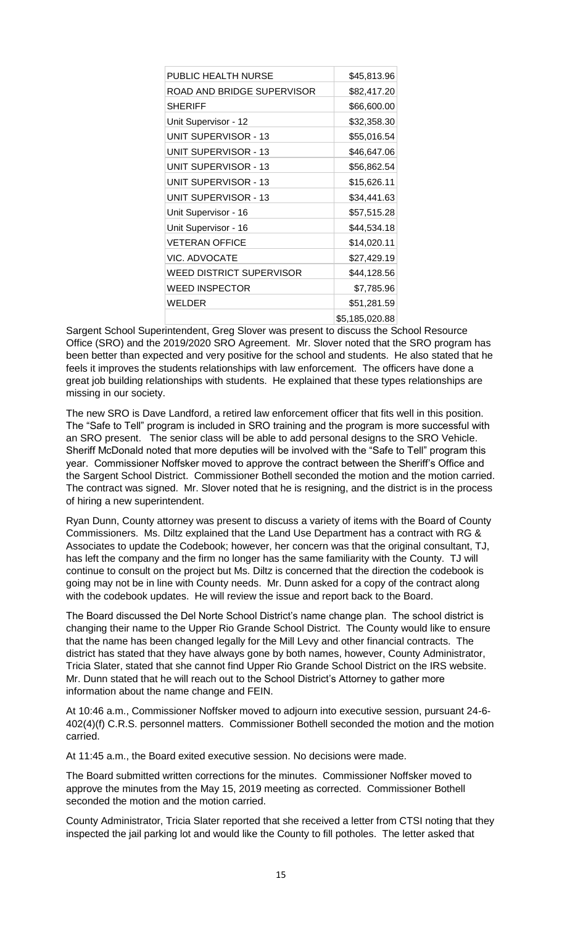| PUBLIC HEALTH NURSE             | \$45,813.96    |
|---------------------------------|----------------|
| ROAD AND BRIDGE SUPERVISOR      | \$82,417.20    |
| <b>SHERIFF</b>                  | \$66,600.00    |
| Unit Supervisor - 12            | \$32,358.30    |
| UNIT SUPERVISOR - 13            | \$55,016.54    |
| <b>UNIT SUPERVISOR - 13</b>     | \$46,647.06    |
| <b>UNIT SUPERVISOR - 13</b>     | \$56,862.54    |
| UNIT SUPERVISOR - 13            | \$15,626.11    |
| UNIT SUPERVISOR - 13            | \$34,441.63    |
| Unit Supervisor - 16            | \$57,515.28    |
| Unit Supervisor - 16            | \$44,534.18    |
| <b>VETERAN OFFICE</b>           | \$14,020.11    |
| VIC. ADVOCATE                   | \$27,429.19    |
| <b>WEED DISTRICT SUPERVISOR</b> | \$44,128.56    |
| <b>WEED INSPECTOR</b>           | \$7,785.96     |
| WELDER                          | \$51,281.59    |
|                                 | \$5,185,020.88 |

Sargent School Superintendent, Greg Slover was present to discuss the School Resource Office (SRO) and the 2019/2020 SRO Agreement. Mr. Slover noted that the SRO program has been better than expected and very positive for the school and students. He also stated that he feels it improves the students relationships with law enforcement. The officers have done a great job building relationships with students. He explained that these types relationships are missing in our society.

The new SRO is Dave Landford, a retired law enforcement officer that fits well in this position. The "Safe to Tell" program is included in SRO training and the program is more successful with an SRO present. The senior class will be able to add personal designs to the SRO Vehicle. Sheriff McDonald noted that more deputies will be involved with the "Safe to Tell" program this year. Commissioner Noffsker moved to approve the contract between the Sheriff's Office and the Sargent School District. Commissioner Bothell seconded the motion and the motion carried. The contract was signed. Mr. Slover noted that he is resigning, and the district is in the process of hiring a new superintendent.

Ryan Dunn, County attorney was present to discuss a variety of items with the Board of County Commissioners. Ms. Diltz explained that the Land Use Department has a contract with RG & Associates to update the Codebook; however, her concern was that the original consultant, TJ, has left the company and the firm no longer has the same familiarity with the County. TJ will continue to consult on the project but Ms. Diltz is concerned that the direction the codebook is going may not be in line with County needs. Mr. Dunn asked for a copy of the contract along with the codebook updates. He will review the issue and report back to the Board.

The Board discussed the Del Norte School District's name change plan. The school district is changing their name to the Upper Rio Grande School District. The County would like to ensure that the name has been changed legally for the Mill Levy and other financial contracts. The district has stated that they have always gone by both names, however, County Administrator, Tricia Slater, stated that she cannot find Upper Rio Grande School District on the IRS website. Mr. Dunn stated that he will reach out to the School District's Attorney to gather more information about the name change and FEIN.

At 10:46 a.m., Commissioner Noffsker moved to adjourn into executive session, pursuant 24-6- 402(4)(f) C.R.S. personnel matters. Commissioner Bothell seconded the motion and the motion carried.

At 11:45 a.m., the Board exited executive session. No decisions were made.

The Board submitted written corrections for the minutes. Commissioner Noffsker moved to approve the minutes from the May 15, 2019 meeting as corrected. Commissioner Bothell seconded the motion and the motion carried.

County Administrator, Tricia Slater reported that she received a letter from CTSI noting that they inspected the jail parking lot and would like the County to fill potholes. The letter asked that